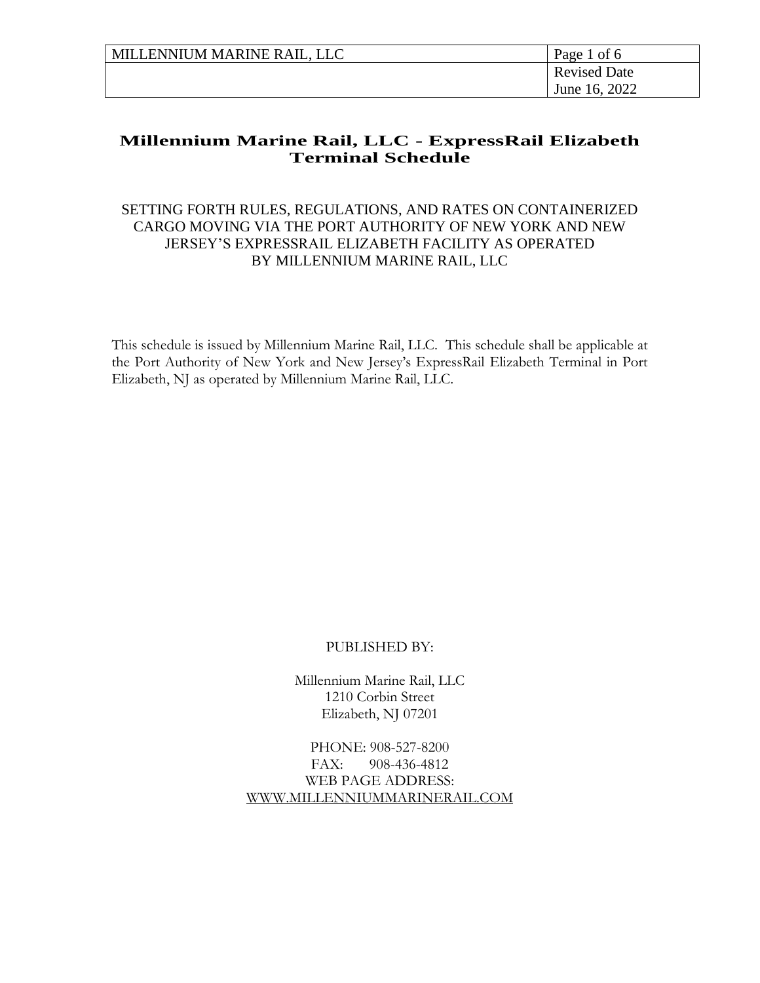| MILLENNIUM MARINE RAIL, LLC | Page 1 of 6         |
|-----------------------------|---------------------|
|                             | <b>Revised Date</b> |
|                             | June 16, 2022       |

## SETTING FORTH RULES, REGULATIONS, AND RATES ON CONTAINERIZED CARGO MOVING VIA THE PORT AUTHORITY OF NEW YORK AND NEW JERSEY'S EXPRESSRAIL ELIZABETH FACILITY AS OPERATED BY MILLENNIUM MARINE RAIL, LLC

This schedule is issued by Millennium Marine Rail, LLC. This schedule shall be applicable at the Port Authority of New York and New Jersey's ExpressRail Elizabeth Terminal in Port Elizabeth, NJ as operated by Millennium Marine Rail, LLC.

#### PUBLISHED BY:

Millennium Marine Rail, LLC 1210 Corbin Street Elizabeth, NJ 07201

PHONE: 908-527-8200 FAX: 908-436-4812 WEB PAGE ADDRESS: [WWW.MILLENNIUMMARINERAIL.COM](http://www.millenniummarinerail.com/)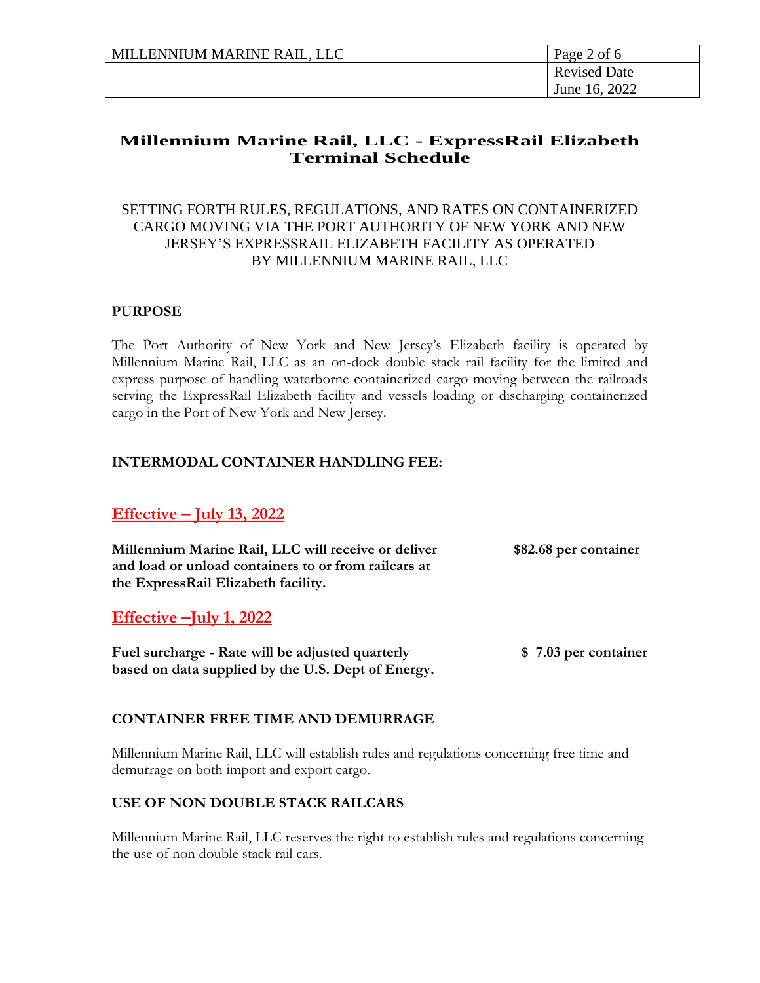| MILLENNIUM MARINE RAIL, LLC | Page 2 of 6         |
|-----------------------------|---------------------|
|                             | <b>Revised Date</b> |
|                             | June 16, 2022       |

## SETTING FORTH RULES, REGULATIONS, AND RATES ON CONTAINERIZED CARGO MOVING VIA THE PORT AUTHORITY OF NEW YORK AND NEW JERSEY'S EXPRESSRAIL ELIZABETH FACILITY AS OPERATED BY MILLENNIUM MARINE RAIL, LLC

#### **PURPOSE**

The Port Authority of New York and New Jersey's Elizabeth facility is operated by Millennium Marine Rail, LLC as an on-dock double stack rail facility for the limited and express purpose of handling waterborne containerized cargo moving between the railroads serving the ExpressRail Elizabeth facility and vessels loading or discharging containerized cargo in the Port of New York and New Jersey.

#### **INTERMODAL CONTAINER HANDLING FEE:**

# **Effective – July 13, 2022**

**Millennium Marine Rail, LLC will receive or deliver \$82.68 per container and load or unload containers to or from railcars at the ExpressRail Elizabeth facility.**

## **Effective –July 1, 2022**

**Fuel surcharge - Rate will be adjusted quarterly \$ 7.03 per container based on data supplied by the U.S. Dept of Energy.** 

## **CONTAINER FREE TIME AND DEMURRAGE**

Millennium Marine Rail, LLC will establish rules and regulations concerning free time and demurrage on both import and export cargo.

#### **USE OF NON DOUBLE STACK RAILCARS**

Millennium Marine Rail, LLC reserves the right to establish rules and regulations concerning the use of non double stack rail cars.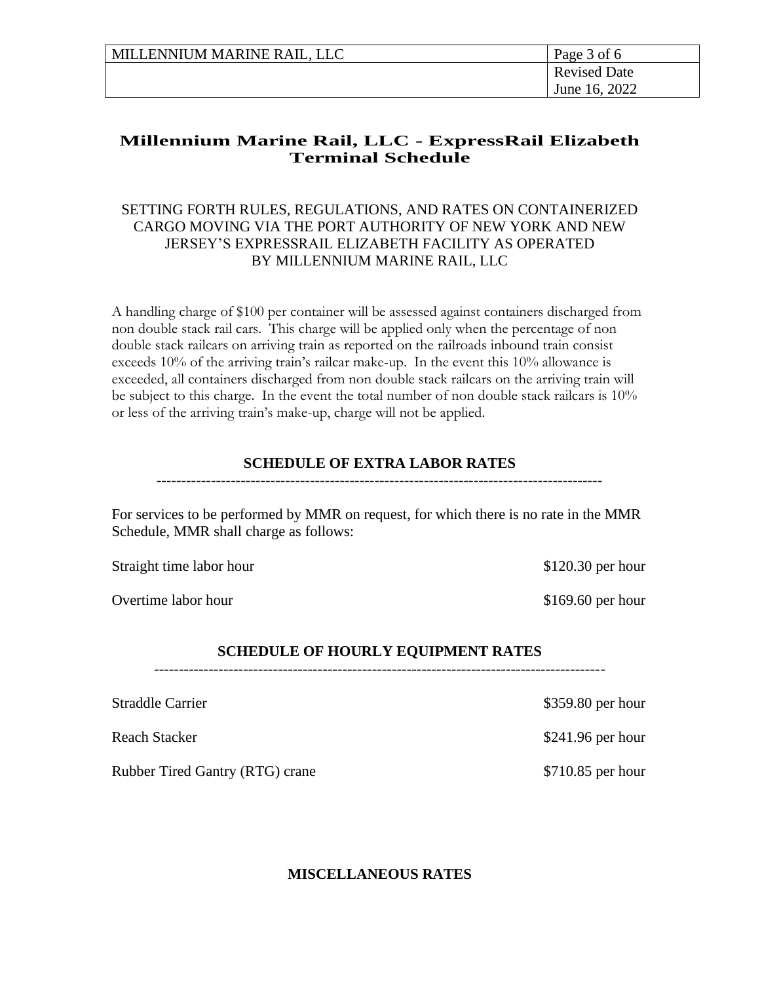| MILLENNIUM MARINE RAIL, LLC | Page 3 of 6         |
|-----------------------------|---------------------|
|                             | <b>Revised Date</b> |
|                             | June 16, 2022       |

## SETTING FORTH RULES, REGULATIONS, AND RATES ON CONTAINERIZED CARGO MOVING VIA THE PORT AUTHORITY OF NEW YORK AND NEW JERSEY'S EXPRESSRAIL ELIZABETH FACILITY AS OPERATED BY MILLENNIUM MARINE RAIL, LLC

A handling charge of \$100 per container will be assessed against containers discharged from non double stack rail cars. This charge will be applied only when the percentage of non double stack railcars on arriving train as reported on the railroads inbound train consist exceeds 10% of the arriving train's railcar make-up. In the event this 10% allowance is exceeded, all containers discharged from non double stack railcars on the arriving train will be subject to this charge. In the event the total number of non double stack railcars is 10% or less of the arriving train's make-up, charge will not be applied.

#### **SCHEDULE OF EXTRA LABOR RATES**

------------------------------------------------------------------------------------------

For services to be performed by MMR on request, for which there is no rate in the MMR Schedule, MMR shall charge as follows:

Straight time labor hour \$120.30 per hour

Overtime labor hour \$169.60 per hour

#### **SCHEDULE OF HOURLY EQUIPMENT RATES**

-------------------------------------------------------------------------------------------

Straddle Carrier  $$359.80$  per hour Reach Stacker \$241.96 per hour Rubber Tired Gantry (RTG) crane \$710.85 per hour

**MISCELLANEOUS RATES**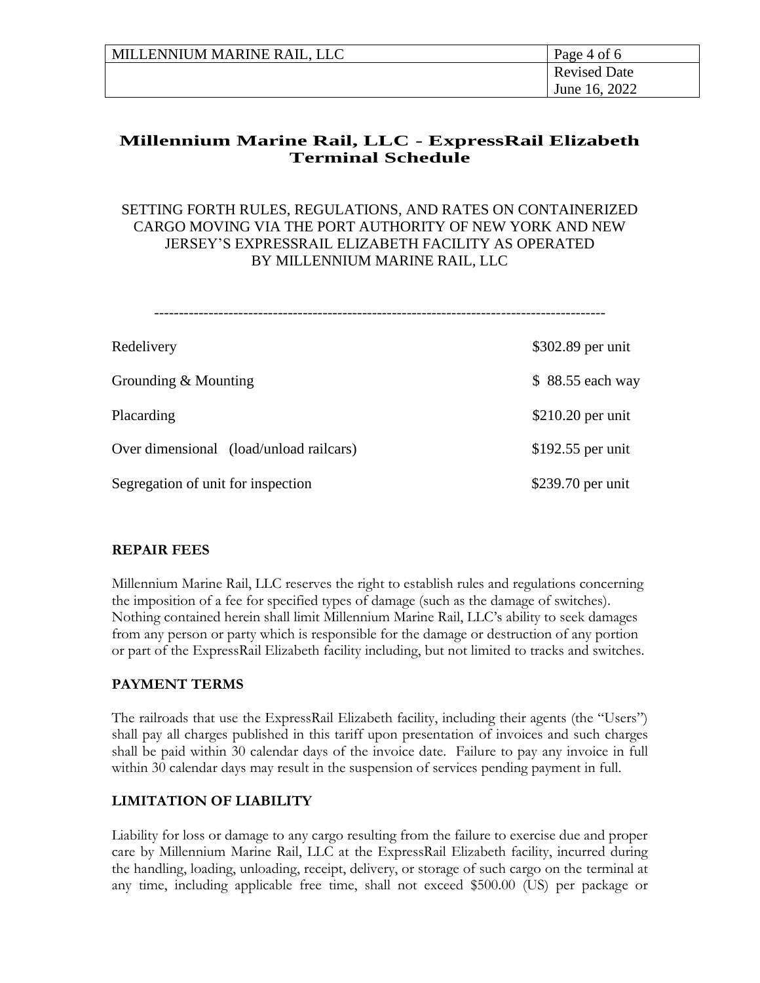| MILLENNIUM MARINE RAIL, LLC | Page 4 of 6         |
|-----------------------------|---------------------|
|                             | <b>Revised Date</b> |
|                             | June 16, 2022       |

#### SETTING FORTH RULES, REGULATIONS, AND RATES ON CONTAINERIZED CARGO MOVING VIA THE PORT AUTHORITY OF NEW YORK AND NEW JERSEY'S EXPRESSRAIL ELIZABETH FACILITY AS OPERATED BY MILLENNIUM MARINE RAIL, LLC

| Redelivery                              | \$302.89 per unit |
|-----------------------------------------|-------------------|
| Grounding & Mounting                    | \$88.55 each way  |
| Placarding                              | \$210.20 per unit |
| Over dimensional (load/unload railcars) | \$192.55 per unit |
| Segregation of unit for inspection      | \$239.70 per unit |

#### **REPAIR FEES**

Millennium Marine Rail, LLC reserves the right to establish rules and regulations concerning the imposition of a fee for specified types of damage (such as the damage of switches). Nothing contained herein shall limit Millennium Marine Rail, LLC's ability to seek damages from any person or party which is responsible for the damage or destruction of any portion or part of the ExpressRail Elizabeth facility including, but not limited to tracks and switches.

## **PAYMENT TERMS**

The railroads that use the ExpressRail Elizabeth facility, including their agents (the "Users") shall pay all charges published in this tariff upon presentation of invoices and such charges shall be paid within 30 calendar days of the invoice date. Failure to pay any invoice in full within 30 calendar days may result in the suspension of services pending payment in full.

## **LIMITATION OF LIABILITY**

Liability for loss or damage to any cargo resulting from the failure to exercise due and proper care by Millennium Marine Rail, LLC at the ExpressRail Elizabeth facility, incurred during the handling, loading, unloading, receipt, delivery, or storage of such cargo on the terminal at any time, including applicable free time, shall not exceed \$500.00 (US) per package or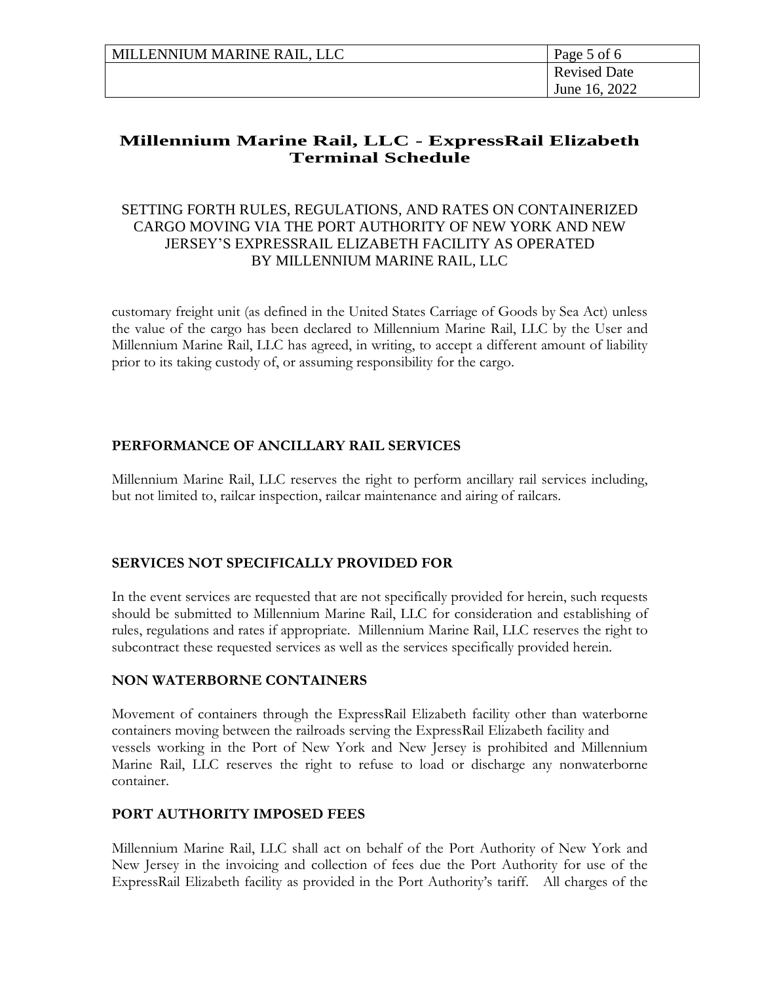| MILLENNIUM MARINE RAIL, LLC | Page 5 of 6         |
|-----------------------------|---------------------|
|                             | <b>Revised Date</b> |
|                             | June 16, 2022       |

## SETTING FORTH RULES, REGULATIONS, AND RATES ON CONTAINERIZED CARGO MOVING VIA THE PORT AUTHORITY OF NEW YORK AND NEW JERSEY'S EXPRESSRAIL ELIZABETH FACILITY AS OPERATED BY MILLENNIUM MARINE RAIL, LLC

customary freight unit (as defined in the United States Carriage of Goods by Sea Act) unless the value of the cargo has been declared to Millennium Marine Rail, LLC by the User and Millennium Marine Rail, LLC has agreed, in writing, to accept a different amount of liability prior to its taking custody of, or assuming responsibility for the cargo.

## **PERFORMANCE OF ANCILLARY RAIL SERVICES**

Millennium Marine Rail, LLC reserves the right to perform ancillary rail services including, but not limited to, railcar inspection, railcar maintenance and airing of railcars.

## **SERVICES NOT SPECIFICALLY PROVIDED FOR**

In the event services are requested that are not specifically provided for herein, such requests should be submitted to Millennium Marine Rail, LLC for consideration and establishing of rules, regulations and rates if appropriate. Millennium Marine Rail, LLC reserves the right to subcontract these requested services as well as the services specifically provided herein.

#### **NON WATERBORNE CONTAINERS**

Movement of containers through the ExpressRail Elizabeth facility other than waterborne containers moving between the railroads serving the ExpressRail Elizabeth facility and vessels working in the Port of New York and New Jersey is prohibited and Millennium Marine Rail, LLC reserves the right to refuse to load or discharge any nonwaterborne container.

## **PORT AUTHORITY IMPOSED FEES**

Millennium Marine Rail, LLC shall act on behalf of the Port Authority of New York and New Jersey in the invoicing and collection of fees due the Port Authority for use of the ExpressRail Elizabeth facility as provided in the Port Authority's tariff. All charges of the